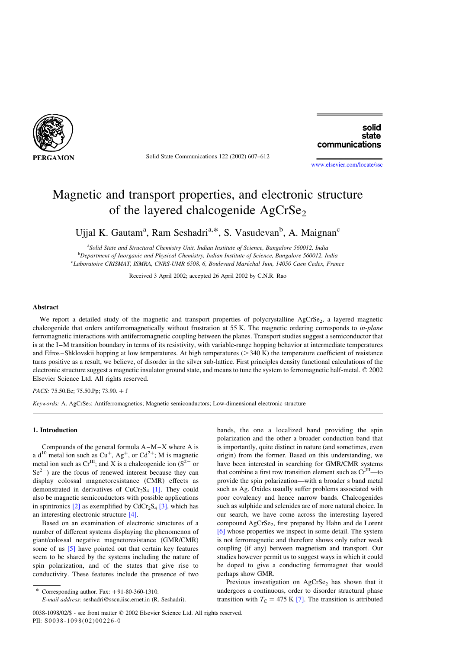

Solid State Communications 122 (2002) 607–612

# solid state communications

[www.elsevier.com/locate/ssc](http://www.elsevier.com/locate/ssc)

# Magnetic and transport properties, and electronic structure of the layered chalcogenide AgCrSe<sub>2</sub>

Ujjal K. Gautam<sup>a</sup>, Ram Seshadri<sup>a,\*</sup>, S. Vasudevan<sup>b</sup>, A. Maignan<sup>c</sup>

<sup>a</sup>Solid State and Structural Chemistry Unit, Indian Institute of Science, Bangalore 560012, India <sup>b</sup>Department of Inorganic and Physical Chemistry, Indian Institute of Science, Bangalore 560012, India <sup>c</sup>Laboratoire CRISMAT, ISMRA, CNRS-UMR 6508, 6, Boulevard Maréchal Juin, 14050 Caen Cedex, France

Received 3 April 2002; accepted 26 April 2002 by C.N.R. Rao

## Abstract

We report a detailed study of the magnetic and transport properties of polycrystalline AgCrSe<sub>2</sub>, a layered magnetic chalcogenide that orders antiferromagnetically without frustration at 55 K. The magnetic ordering corresponds to *in-plane* ferromagnetic interactions with antiferromagnetic coupling between the planes. Transport studies suggest a semiconductor that is at the I–M transition boundary in terms of its resistivity, with variable-range hopping behavior at intermediate temperatures and Efros–Shklovskii hopping at low temperatures. At high temperatures  $(>= 340 \text{ K})$  the temperature coefficient of resistance turns positive as a result, we believe, of disorder in the silver sub-lattice. First principles density functional calculations of the electronic structure suggest a magnetic insulator ground state, and means to tune the system to ferromagnetic half-metal. © 2002 Elsevier Science Ltd. All rights reserved.

PACS: 75.50.Ee; 75.50.Pp; 73.90. + f

Keywords: A. AgCrSe<sub>2</sub>; Antiferromagnetics; Magnetic semiconductors; Low-dimensional electronic structure

#### 1. Introduction

Compounds of the general formula A–M–X where A is a d<sup>10</sup> metal ion such as  $Cu^+$ , Ag<sup>+</sup>, or  $Cd^{2+}$ ; M is magnetic metal ion such as  $Cr^{III}$ ; and X is a chalcogenide ion ( $S^{2-}$  or  $Se<sup>2</sup>$  are the focus of renewed interest because they can display colossal magnetoresistance (CMR) effects as demonstrated in derivatives of  $CuCr<sub>2</sub>S<sub>4</sub>$  [\[1\]](#page-4-0). They could also be magnetic semiconductors with possible applications in spintronics  $[2]$  as exemplified by CdCr<sub>2</sub>S<sub>4</sub>  $[3]$ , which has an interesting electronic structure [\[4\]](#page-4-0).

Based on an examination of electronic structures of a number of different systems displaying the phenomenon of giant/colossal negative magnetoresistance (GMR/CMR) some of us [\[5\]](#page-4-0) have pointed out that certain key features seem to be shared by the systems including the nature of spin polarization, and of the states that give rise to conductivity. These features include the presence of two bands, the one a localized band providing the spin polarization and the other a broader conduction band that is importantly, quite distinct in nature (and sometimes, even origin) from the former. Based on this understanding, we have been interested in searching for GMR/CMR systems that combine a first row transition element such as  $Cr^{III}$ —to provide the spin polarization—with a broader s band metal such as Ag. Oxides usually suffer problems associated with poor covalency and hence narrow bands. Chalcogenides such as sulphide and selenides are of more natural choice. In our search, we have come across the interesting layered compound AgCrSe<sub>2</sub>, first prepared by Hahn and de Lorent [\[6\]](#page-4-0) whose properties we inspect in some detail. The system is not ferromagnetic and therefore shows only rather weak coupling (if any) between magnetism and transport. Our studies however permit us to suggest ways in which it could be doped to give a conducting ferromagnet that would perhaps show GMR.

Previous investigation on  $AgCrSe<sub>2</sub>$  has shown that it undergoes a continuous, order to disorder structural phase transition with  $T_{\rm C} = 475$  K [\[7\]](#page-4-0). The transition is attributed

Corresponding author. Fax:  $+91-80-360-1310$ .

E-mail address: seshadri@sscu.iisc.ernet.in (R. Seshadri).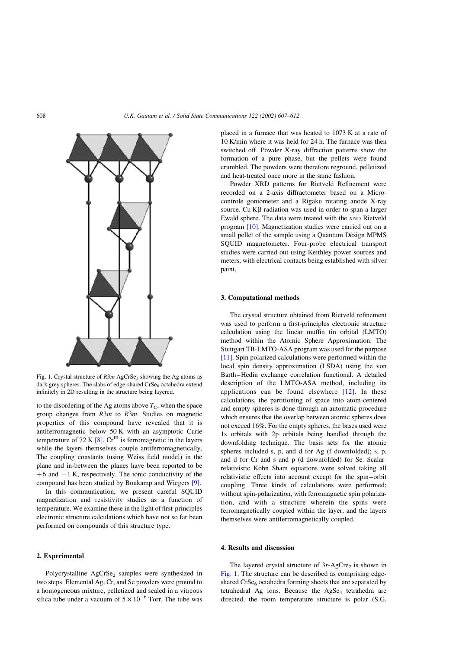

Fig. 1. Crystal structure of  $R3m$  AgCrSe<sub>2</sub> showing the Ag atoms as dark grey spheres. The slabs of edge-shared  $CrSe<sub>6</sub>$  octahedra extend infinitely in 2D resulting in the structure being layered.

to the disordering of the Ag atoms above  $T_{\rm C}$ , when the space group changes from  $R3m$  to  $R\overline{3}m$ . Studies on magnetic properties of this compound have revealed that it is antiferromagnetic below 50 K with an asymptotic Curie temperature of 72 K  $[8]$ . Cr<sup>III</sup> is ferromagnetic in the layers while the layers themselves couple antiferromagnetically. The coupling constants (using Weiss field model) in the plane and in-between the planes have been reported to be  $+6$  and  $-1$  K, respectively. The ionic conductivity of the compound has been studied by Boukamp and Wiegers [\[9\].](#page-4-0)

In this communication, we present careful SQUID magnetization and resistivity studies as a function of temperature. We examine these in the light of first-principles electronic structure calculations which have not so far been performed on compounds of this structure type.

# 2. Experimental

Polycrystalline  $AgCrSe<sub>2</sub>$  samples were synthesized in two steps. Elemental Ag, Cr, and Se powders were ground to a homogeneous mixture, pelletized and sealed in a vitreous silica tube under a vacuum of  $5 \times 10^{-6}$  Torr. The tube was

placed in a furnace that was heated to 1073 K at a rate of 10 K/min where it was held for 24 h. The furnace was then switched off. Powder X-ray diffraction patterns show the formation of a pure phase, but the pellets were found crumbled. The powders were therefore reground, pelletized and heat-treated once more in the same fashion.

Powder XRD patterns for Rietveld Refinement were recorded on a 2-axis diffractometer based on a Microcontrole goniometer and a Rigaku rotating anode X-ray source. Cu  $K\beta$  radiation was used in order to span a larger Ewald sphere. The data were treated with the XND Rietveld program [\[10\].](#page-4-0) Magnetization studies were carried out on a small pellet of the sample using a Quantum Design MPMS SQUID magnetometer. Four-probe electrical transport studies were carried out using Keithley power sources and meters, with electrical contacts being established with silver paint.

#### 3. Computational methods

The crystal structure obtained from Rietveld refinement was used to perform a first-principles electronic structure calculation using the linear muffin tin orbital (LMTO) method within the Atomic Sphere Approximation. The Stuttgart TB-LMTO-ASA program was used for the purpose [\[11\]](#page-4-0). Spin polarized calculations were performed within the local spin density approximation (LSDA) using the von Barth–Hedin exchange correlation functional. A detailed description of the LMTO-ASA method, including its applications can be found elsewhere  $[12]$ . In these calculations, the partitioning of space into atom-centered and empty spheres is done through an automatic procedure which ensures that the overlap between atomic spheres does not exceed 16%. For the empty spheres, the bases used were 1s orbitals with 2p orbitals being handled through the downfolding technique. The basis sets for the atomic spheres included s, p, and d for Ag (f downfolded); s, p, and d for Cr and s and p (d downfolded) for Se. Scalarrelativistic Kohn Sham equations were solved taking all relativistic effects into account except for the spin–orbit coupling. Three kinds of calculations were performed; without spin-polarization, with ferromagnetic spin polarization, and with a structure wherein the spins were ferromagnetically coupled within the layer, and the layers themselves were antiferromagnetically coupled.

## 4. Results and discussion

The layered crystal structure of  $3r$ -AgCre<sub>2</sub> is shown in Fig. 1. The structure can be described as comprising edgeshared  $CrSe<sub>6</sub>$  octahedra forming sheets that are separated by tetrahedral Ag ions. Because the AgSe<sub>4</sub> tetrahedra are directed, the room temperature structure is polar (S.G.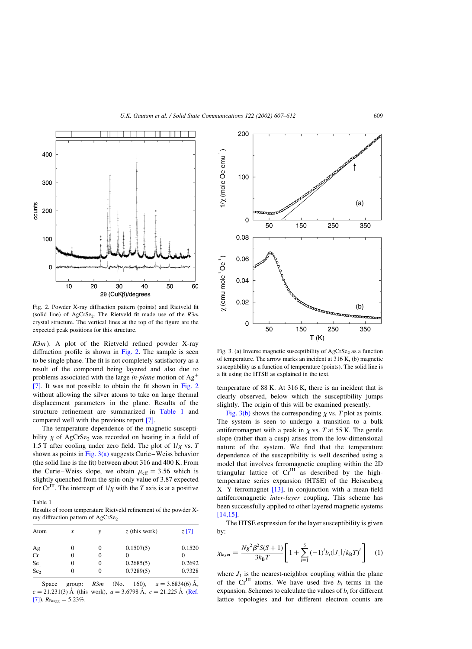<span id="page-2-0"></span>

Fig. 2. Powder X-ray diffraction pattern (points) and Rietveld fit (solid line) of AgCrSe<sub>2</sub>. The Rietveld fit made use of the  $R3m$ crystal structure. The vertical lines at the top of the figure are the expected peak positions for this structure.

 $R3m$ ). A plot of the Rietveld refined powder X-ray diffraction profile is shown in Fig. 2. The sample is seen to be single phase. The fit is not completely satisfactory as a result of the compound being layered and also due to problems associated with the large *in-plane* motion of  $Ag^+$ [\[7\].](#page-4-0) It was not possible to obtain the fit shown in Fig. 2 without allowing the silver atoms to take on large thermal displacement parameters in the plane. Results of the structure refinement are summarized in Table 1 and compared well with the previous report [\[7\].](#page-4-0)

The temperature dependence of the magnetic susceptibility  $\chi$  of AgCrSe<sub>2</sub> was recorded on heating in a field of 1.5 T after cooling under zero field. The plot of  $1/\chi$  vs. T shown as points in Fig.  $3(a)$  suggests Curie–Weiss behavior (the solid line is the fit) between about 316 and 400 K. From the Curie–Weiss slope, we obtain  $\mu_{\text{eff}} = 3.56$  which is slightly quenched from the spin-only value of 3.87 expected for Cr<sup>III</sup>. The intercept of  $1/\chi$  with the T axis is at a positive

Table 1

Results of room temperature Rietveld refinement of the powder Xray diffraction pattern of AgCrSe<sub>2</sub>

| Atom            | x | ν        | $z$ (this work)   | $z$ [7] |
|-----------------|---|----------|-------------------|---------|
|                 | 0 | 0        | 0.1507(5)         | 0.1520  |
| Ag<br>Cr        | 0 | 0        | $\mathbf{\Omega}$ |         |
| Se <sub>1</sub> | 0 | 0        | 0.2685(5)         | 0.2692  |
| Se <sub>2</sub> | 0 | $\theta$ | 0.7289(5)         | 0.7328  |

Space group:  $R3m$  (No. 160),  $a = 3.6834(6)$  Å,  $c = 21.231(3)$  Å (this work),  $a = 3.6798$  Å,  $c = 21.225$  Å [\(Ref.](#page-4-0) [\[7\]\)](#page-4-0),  $R_{\text{Bragg}} = 5.23\%$ .



Fig. 3. (a) Inverse magnetic susceptibility of  $AgCrSe<sub>2</sub>$  as a function of temperature. The arrow marks an incident at 316 K, (b) magnetic susceptibility as a function of temperature (points). The solid line is a fit using the HTSE as explained in the text.

temperature of 88 K. At 316 K, there is an incident that is clearly observed, below which the susceptibility jumps slightly. The origin of this will be examined presently.

Fig. 3(b) shows the corresponding  $\chi$  vs. T plot as points. The system is seen to undergo a transition to a bulk antiferromagnet with a peak in  $\chi$  vs. T at 55 K. The gentle slope (rather than a cusp) arises from the low-dimensional nature of the system. We find that the temperature dependence of the susceptibility is well described using a model that involves ferromagnetic coupling within the 2D triangular lattice of  $Cr^{III}$  as described by the hightemperature series expansion (HTSE) of the Heisenberg X–Y ferromagnet [\[13\]](#page-5-0), in conjunction with a mean-field antiferromagnetic inter-layer coupling. This scheme has been successfully applied to other layered magnetic systems [\[14,15\].](#page-5-0)

The HTSE expression for the layer susceptibility is given by:

$$
\chi_{\text{layer}} = \frac{Ng^2 \beta^2 S(S+1)}{3k_{\text{B}}T} \left[ 1 + \sum_{i=1}^{5} (-1)^i b_i (|J_1|/k_{\text{B}}T)^i \right] \tag{1}
$$

where  $J_1$  is the nearest-neighbor coupling within the plane of the Cr<sup>III</sup> atoms. We have used five  $b_i$  terms in the expansion. Schemes to calculate the values of  $b_i$  for different lattice topologies and for different electron counts are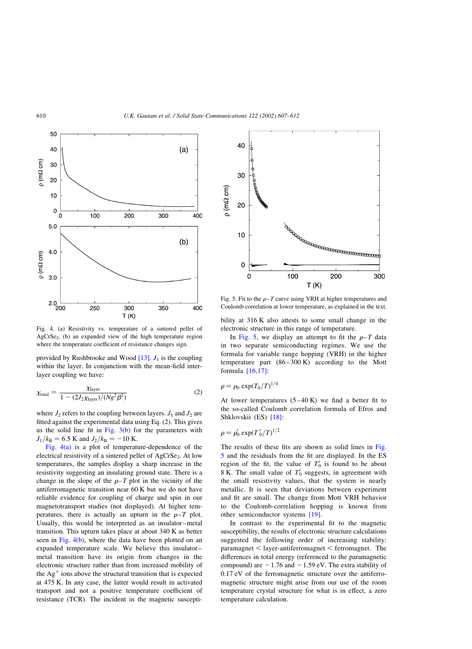

Fig. 4. (a) Resistivity vs. temperature of a sintered pellet of AgCrSe<sub>2</sub>, (b) an expanded view of the high temperature region where the temperature coefficient of resistance changes sign.

provided by Rushbrooke and Wood  $[13]$ .  $J_1$  is the coupling within the layer. In conjunction with the mean-field interlayer coupling we have:

$$
\chi_{\text{total}} = \frac{\chi_{\text{layer}}}{1 - (2J_2 \chi_{\text{layer}})/(Ng^2 \beta^2)}
$$
(2)

where  $J_2$  refers to the coupling between layers.  $J_1$  and  $J_2$  are fitted against the experimental data using Eq. (2). This gives us the solid line fit in [Fig. 3\(b\)](#page-2-0) for the parameters with  $J_1/k_B = 6.5$  K and  $J_2/k_B = -10$  K.

Fig. 4(a) is a plot of temperature-dependence of the electrical resistivity of a sintered pellet of AgCrSe<sub>2</sub>. At low temperatures, the samples display a sharp increase in the resistivity suggesting an insulating ground state. There is a change in the slope of the  $\rho-T$  plot in the vicinity of the antiferromagnetic transition near 60 K but we do not have reliable evidence for coupling of charge and spin in our magnetotransport studies (not displayed). At higher temperatures, there is actually an upturn in the  $\rho-T$  plot. Usually, this would be interpreted as an insulator–metal transition. This upturn takes place at about 340 K as better seen in Fig.  $4(b)$ , where the data have been plotted on an expanded temperature scale. We believe this insulator– metal transition have its origin from changes in the electronic structure rather than from increased mobility of the  $Ag<sup>+</sup>$  ions above the structural transition that is expected at 475 K. In any case, the latter would result in activated transport and not a positive temperature coefficient of resistance (TCR). The incident in the magnetic suscepti-



Fig. 5. Fit to the  $\rho$ –T curve using VRH at higher temperatures and Coulomb correlation at lower temperature, as explained in the text.

bility at 316 K also attests to some small change in the electronic structure in this range of temperature.

In Fig. 5, we display an attempt to fit the  $\rho-T$  data in two separate semiconducting regimes. We use the formula for variable range hopping (VRH) in the higher temperature part  $(86-300 \text{ K})$  according to the Mott formula [\[16,17\]](#page-5-0):

 $\rho = \rho_0 \exp(T_0/T)^{1/4}$ 

At lower temperatures  $(5-40 \text{ K})$  we find a better fit to the so-called Coulomb correlation formula of Efros and Shklovskii (ES) [\[18\]:](#page-5-0)

$$
\rho = \rho_0' \exp(T_0'/T)^{1/2}
$$

The results of these fits are shown as solid lines in Fig. 5 and the residuals from the fit are displayed. In the ES region of the fit, the value of  $T'_0$  is found to be about 8 K. The small value of  $T'_0$  suggests, in agreement with the small resistivity values, that the system is nearly metallic. It is seen that deviations between experiment and fit are small. The change from Mott VRH behavior to the Coulomb-correlation hopping is known from other semiconductor systems [\[19\].](#page-5-0)

In contrast to the experimental fit to the magnetic susceptibility, the results of electronic structure calculations suggested the following order of increasing stability:  $parameter < layer-antiferromagnet <$  ferromagnet. The differences in total energy (referenced to the paramagnetic compound) are  $-1.76$  and  $-1.59$  eV. The extra stability of 0.17 eV of the ferromagnetic structure over the antiferromagnetic structure might arise from our use of the room temperature crystal structure for what is in effect, a zero temperature calculation.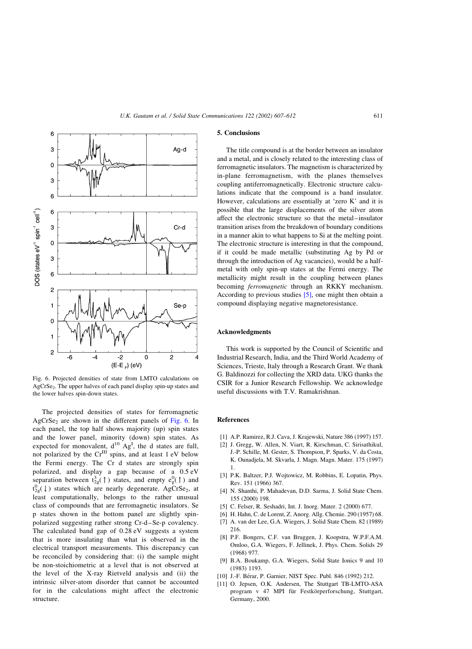<span id="page-4-0"></span>

Fig. 6. Projected densities of state from LMTO calculations on AgCrSe2. The upper halves of each panel display spin-up states and the lower halves spin-down states.

The projected densities of states for ferromagnetic  $AgCrSe<sub>2</sub>$  are shown in the different panels of Fig. 6. In each panel, the top half shows majority (up) spin states and the lower panel, minority (down) spin states. As expected for monovalent,  $d^{10}$  Ag<sup>I</sup>, the d states are full, not polarized by the  $Cr^{III}$  spins, and at least 1 eV below the Fermi energy. The Cr d states are strongly spin polarized, and display a gap because of a 0.5 eV separation between  $t_{2g}^3(\uparrow)$  states, and empty  $e_g^0(\uparrow)$  and  $t_{2g}^{0}(\downarrow)$  states which are nearly degenerate. AgCrSe<sub>2</sub>, at least computationally, belongs to the rather unusual class of compounds that are ferromagnetic insulators. Se p states shown in the bottom panel are slightly spinpolarized suggesting rather strong Cr-d–Se-p covalency. The calculated band gap of 0.28 eV suggests a system that is more insulating than what is observed in the electrical transport measurements. This discrepancy can be reconciled by considering that: (i) the sample might be non-stoichiometric at a level that is not observed at the level of the X-ray Rietveld analysis and (ii) the intrinsic silver-atom disorder that cannot be accounted for in the calculations might affect the electronic structure.

#### 5. Conclusions

The title compound is at the border between an insulator and a metal, and is closely related to the interesting class of ferromagnetic insulators. The magnetism is characterized by in-plane ferromagnetism, with the planes themselves coupling antiferromagnetically. Electronic structure calculations indicate that the compound is a band insulator. However, calculations are essentially at 'zero K' and it is possible that the large displacements of the silver atom affect the electronic structure so that the metal–insulator transition arises from the breakdown of boundary conditions in a manner akin to what happens to Si at the melting point. The electronic structure is interesting in that the compound, if it could be made metallic (substituting Ag by Pd or through the introduction of Ag vacancies), would be a halfmetal with only spin-up states at the Fermi energy. The metallicity might result in the coupling between planes becoming ferromagnetic through an RKKY mechanism. According to previous studies  $[5]$ , one might then obtain a compound displaying negative magnetoresistance.

## Acknowledgments

This work is supported by the Council of Scientific and Industrial Research, India, and the Third World Academy of Sciences, Trieste, Italy through a Research Grant. We thank G. Baldinozzi for collecting the XRD data. UKG thanks the CSIR for a Junior Research Fellowship. We acknowledge useful discussions with T.V. Ramakrishnan.

#### References

- [1] A.P. Ramirez, R.J. Cava, J. Krajewski, Nature 386 (1997) 157.
- [2] J. Gregg, W. Allen, N. Viart, R. Kirschman, C. Sirisathikul, J.-P. Schille, M. Gester, S. Thompson, P. Sparks, V. da Costa, K. Ounadjela, M. Skvarla, J. Magn. Magn. Mater. 175 (1997) 1.
- [3] P.K. Baltzer, P.J. Wojtowicz, M. Robbins, E. Lopatin, Phys. Rev. 151 (1966) 367.
- [4] N. Shanthi, P. Mahadevan, D.D. Sarma, J. Solid State Chem. 155 (2000) 198.
- [5] C. Felser, R. Seshadri, Int. J. Inorg. Mater. 2 (2000) 677.
- [6] H. Hahn, C. de Lorent, Z. Anorg. Allg. Chemie. 290 (1957) 68.
- [7] A. van der Lee, G.A. Wiegers, J. Solid State Chem. 82 (1989) 216.
- [8] P.F. Bongers, C.F. van Bruggen, J. Koopstra, W.P.F.A.M. Omloo, G.A. Wiegers, F. Jellinek, J. Phys. Chem. Solids 29 (1968) 977.
- [9] B.A. Boukamp, G.A. Wiegers, Solid State Ionics 9 and 10 (1983) 1193.
- [10] J.-F. Bérar, P. Garnier, NIST Spec. Publ. 846 (1992) 212.
- [11] O. Jepsen, O.K. Andersen, The Stuttgart TB-LMTO-ASA program v 47 MPI für Festkörperforschung, Stuttgart, Germany, 2000.